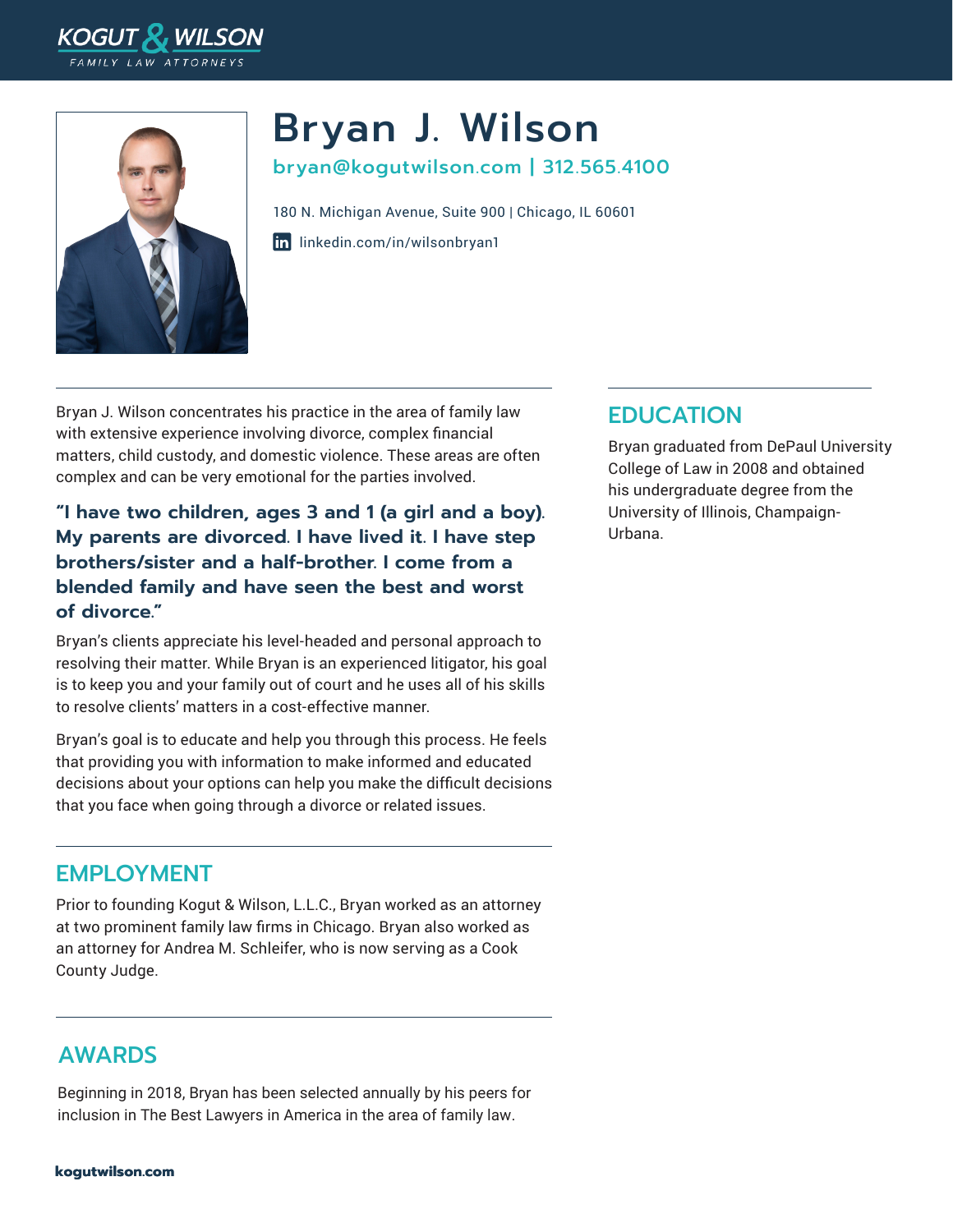



# Bryan J. Wilson bryan@kogutwilson.com | 312.565.4100

in [linkedin.com/in/wilsonbryan1](https://www.linkedin.com/in/wilsonbryan1/) 180 N. Michigan Avenue, Suite 900 | Chicago, IL 60601

Bryan J. Wilson concentrates his practice in the area of family law with extensive experience involving divorce, complex financial matters, child custody, and domestic violence. These areas are often complex and can be very emotional for the parties involved.

**"I have two children, ages 3 and 1 (a girl and a boy). My parents are divorced. I have lived it. I have step brothers/sister and a half-brother. I come from a blended family and have seen the best and worst of divorce."** 

Bryan's clients appreciate his level-headed and personal approach to resolving their matter. While Bryan is an experienced litigator, his goal is to keep you and your family out of court and he uses all of his skills to resolve clients' matters in a cost-effective manner.

Bryan's goal is to educate and help you through this process. He feels that providing you with information to make informed and educated decisions about your options can help you make the difficult decisions that you face when going through a divorce or related issues.

#### EMPLOYMENT

Prior to founding Kogut & Wilson, L.L.C., Bryan worked as an attorney at two prominent family law firms in Chicago. Bryan also worked as an attorney for Andrea M. Schleifer, who is now serving as a Cook County Judge.

#### AWARDS

Beginning in 2018, Bryan has been selected annually by his peers for inclusion in The Best Lawyers in America in the area of family law.

### **EDUCATION**

Bryan graduated from DePaul University College of Law in 2008 and obtained his undergraduate degree from the University of Illinois, Champaign-Urbana.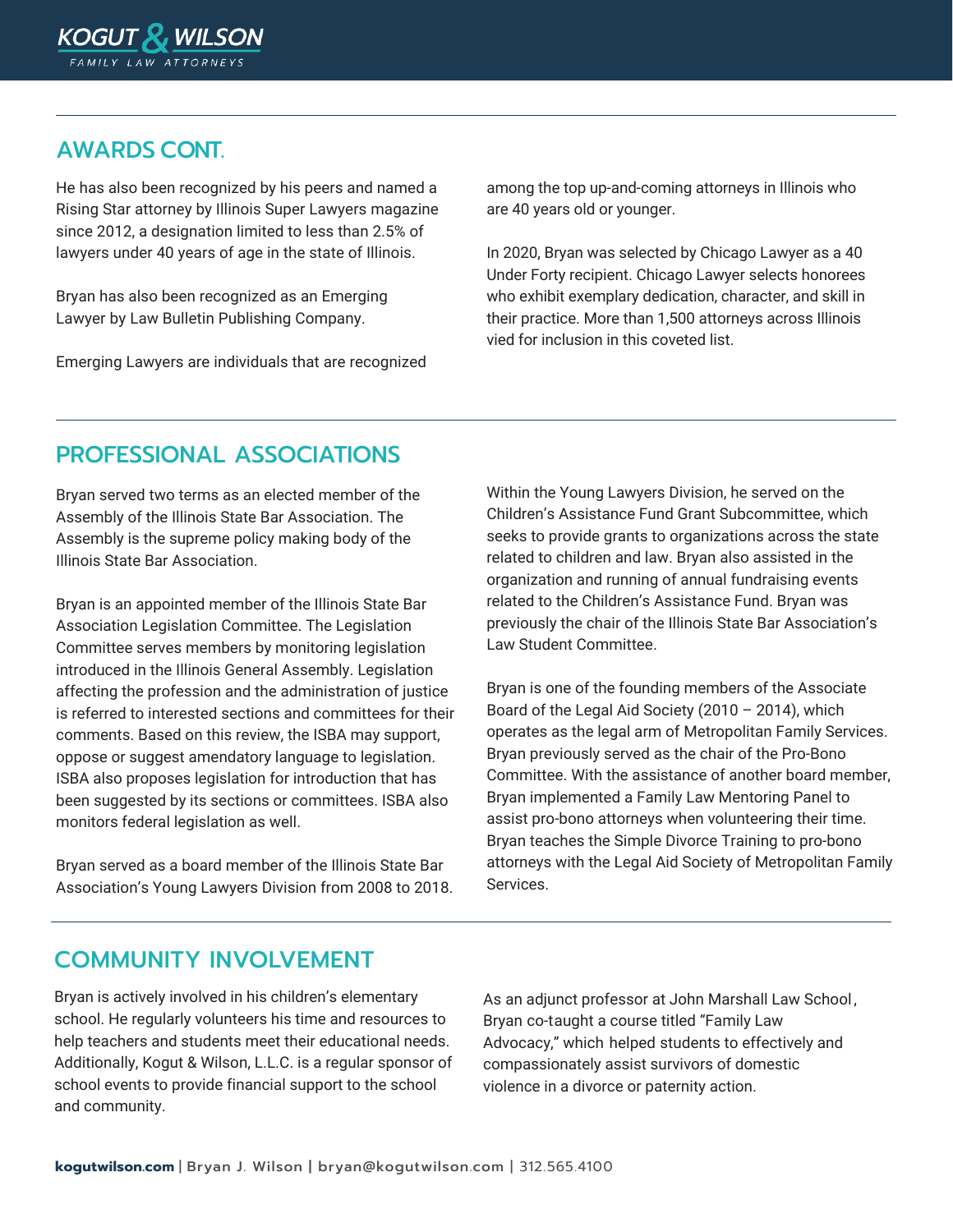

#### AWARDS CONT.

He has also been recognized by his peers and named a Rising Star attorney by Illinois Super Lawyers magazine since 2012, a designation limited to less than 2.5% of lawyers under 40 years of age in the state of Illinois.

Bryan has also been recognized as an Emerging Lawyer by Law Bulletin Publishing Company.

Emerging Lawyers are individuals that are recognized

among the top up-and-coming attorneys in Illinois who are 40 years old or younger.

In 2020, Bryan was selected by Chicago Lawyer as a 40 Under Forty recipient. Chicago Lawyer selects honorees who exhibit exemplary dedication, character, and skill in their practice. More than 1,500 attorneys across Illinois vied for inclusion in this coveted list.

## PROFESSIONAL ASSOCIATIONS

Bryan served two terms as an elected member of the Assembly of the Illinois State Bar Association. The Assembly is the supreme policy making body of the Illinois State Bar Association.

Bryan is an appointed member of the Illinois State Bar Association Legislation Committee. The Legislation Committee serves members by monitoring legislation introduced in the Illinois General Assembly. Legislation affecting the profession and the administration of justice is referred to interested sections and committees for their comments. Based on this review, the ISBA may support, oppose or suggest amendatory language to legislation. ISBA also proposes legislation for introduction that has been suggested by its sections or committees. ISBA also monitors federal legislation as well.

Bryan served as a board member of the Illinois State Bar Association's Young Lawyers Division from 2008 to 2018. Within the Young Lawyers Division, he served on the Children's Assistance Fund Grant Subcommittee, which seeks to provide grants to organizations across the state related to children and law. Bryan also assisted in the organization and running of annual fundraising events related to the Children's Assistance Fund. Bryan was previously the chair of the Illinois State Bar Association's Law Student Committee.

Bryan is one of the founding members of the Associate Board of the Legal Aid Society (2010 – 2014), which operates as the legal arm of Metropolitan Family Services. Bryan previously served as the chair of the Pro-Bono Committee. With the assistance of another board member, Bryan implemented a Family Law Mentoring Panel to assist pro-bono attorneys when volunteering their time. Bryan teaches the Simple Divorce Training to pro-bono attorneys with the Legal Aid Society of Metropolitan Family Services.

#### COMMUNITY INVOLVEMENT

Bryan is actively involved in his children's elementary school. He regularly volunteers his time and resources to help teachers and students meet their educational needs. Additionally, Kogut & Wilson, L.L.C. is a regular sponsor of school events to provide financial support to the school and community.

As an adjunct professor at John Marshall Law School , Bryan co-taught a course titled "Family Law Advocacy," which helped students to effectively and compassionately assist survivors of domestic violence in a divorce or paternity action.